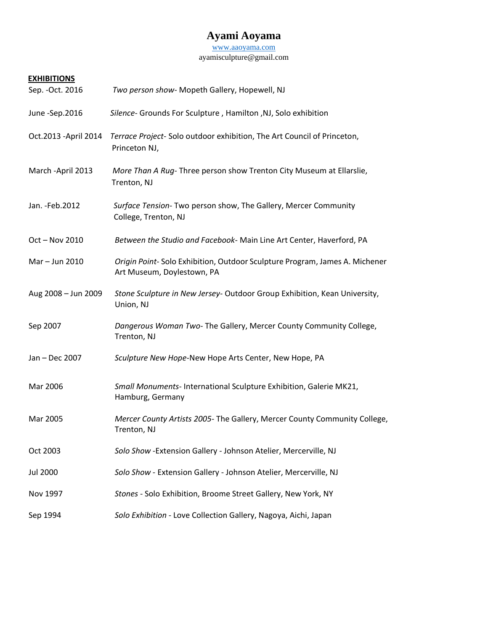# **Ayami Aoyama**

[www.aaoyama.com](http://www.aaoyama.com/)

ayamisculpture@gmail.com

# **EXHIBITIONS**

| Sep. - Oct. 2016      | Two person show- Mopeth Gallery, Hopewell, NJ                                                            |
|-----------------------|----------------------------------------------------------------------------------------------------------|
| June -Sep.2016        | Silence- Grounds For Sculpture, Hamilton, NJ, Solo exhibition                                            |
| Oct.2013 - April 2014 | Terrace Project-Solo outdoor exhibition, The Art Council of Princeton,<br>Princeton NJ,                  |
| March - April 2013    | More Than A Rug-Three person show Trenton City Museum at Ellarslie,<br>Trenton, NJ                       |
| Jan. - Feb. 2012      | Surface Tension- Two person show, The Gallery, Mercer Community<br>College, Trenton, NJ                  |
| Oct - Nov 2010        | Between the Studio and Facebook- Main Line Art Center, Haverford, PA                                     |
| Mar - Jun 2010        | Origin Point-Solo Exhibition, Outdoor Sculpture Program, James A. Michener<br>Art Museum, Doylestown, PA |
| Aug 2008 - Jun 2009   | Stone Sculpture in New Jersey- Outdoor Group Exhibition, Kean University,<br>Union, NJ                   |
| Sep 2007              | Dangerous Woman Two- The Gallery, Mercer County Community College,<br>Trenton, NJ                        |
| Jan - Dec 2007        | Sculpture New Hope-New Hope Arts Center, New Hope, PA                                                    |
| Mar 2006              | Small Monuments- International Sculpture Exhibition, Galerie MK21,<br>Hamburg, Germany                   |
| Mar 2005              | Mercer County Artists 2005- The Gallery, Mercer County Community College,<br>Trenton, NJ                 |
| Oct 2003              | Solo Show - Extension Gallery - Johnson Atelier, Mercerville, NJ                                         |
| <b>Jul 2000</b>       | Solo Show - Extension Gallery - Johnson Atelier, Mercerville, NJ                                         |
| Nov 1997              | Stones - Solo Exhibition, Broome Street Gallery, New York, NY                                            |
| Sep 1994              | Solo Exhibition - Love Collection Gallery, Nagoya, Aichi, Japan                                          |